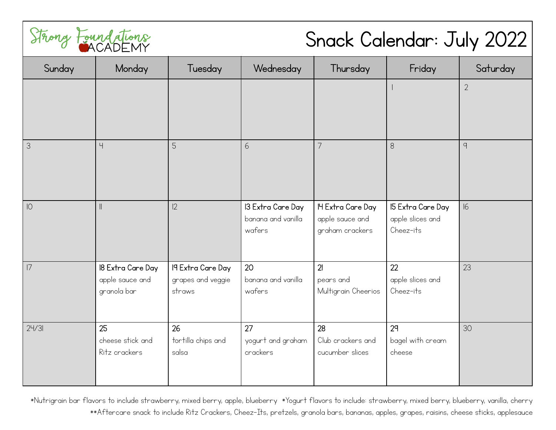

## Snack Calendar: July 2022

| Sunday        | Monday                                | Tuesday                     | Wednesday                               | Thursday                             | Friday                                | Saturday       |
|---------------|---------------------------------------|-----------------------------|-----------------------------------------|--------------------------------------|---------------------------------------|----------------|
|               |                                       |                             |                                         |                                      |                                       | $\overline{2}$ |
|               |                                       |                             |                                         |                                      |                                       |                |
| $\mathcal{S}$ | $\overline{4}$                        | 5                           | 6                                       | 7                                    | $8\,$                                 | 9              |
|               |                                       |                             |                                         |                                      |                                       |                |
| O             | $\begin{array}{c} \hline \end{array}$ | 2                           | 13 Extra Care Day<br>banana and vanilla | IH Extra Care Day<br>apple sauce and | 15 Extra Care Day<br>apple slices and | 16             |
|               |                                       |                             | wafers                                  | graham crackers                      | Cheez-its                             |                |
| 7             | 18 Extra Care Day                     | 19 Extra Care Day           | 20<br>banana and vanilla                | 21                                   | 22                                    | 23             |
|               | apple sauce and<br>granola bar        | grapes and veggie<br>straws | wafers                                  | pears and<br>Multigrain Cheerios     | apple slices and<br>Cheez-its         |                |
| 24/31         | 25                                    | 26                          | 27                                      | 28                                   | 29                                    | 30             |
|               | cheese stick and<br>Ritz crackers     | tortilla chips and<br>salsa | yogurt and graham<br>crackers           | Club crackers and<br>cucumber slices | bagel with cream<br>cheese            |                |

\*Nutrigrain bar flavors to include strawberry, mixed berry, apple, blueberry \*Yogurt flavors to include: strawberry, mixed berry, blueberry, vanilla, cherry \*\*Aftercare snack to include Ritz Crackers, Cheez-Its, pretzels, granola bars, bananas, apples, grapes, raisins, cheese sticks, applesauce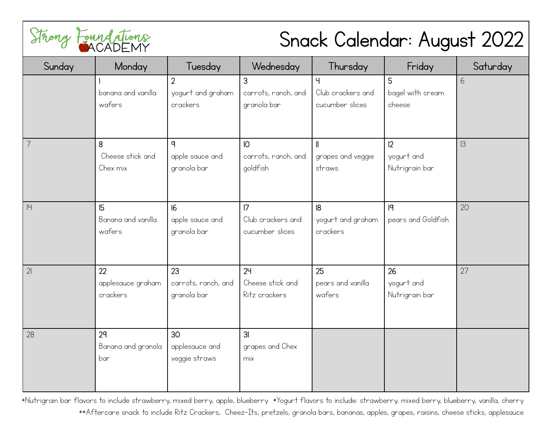

## Snack Calendar: August 2022

| Sunday         | Monday                              | Tuesday                                         | Wednesday                                          | Thursday                                   | Friday                             | Saturday |
|----------------|-------------------------------------|-------------------------------------------------|----------------------------------------------------|--------------------------------------------|------------------------------------|----------|
|                | banana and vanilla<br>wafers        | $\overline{2}$<br>yogurt and graham<br>crackers | 3<br>carrots, ranch, and<br>granola bar            | Ч<br>Club crackers and<br>cucumber slices  | 5<br>bagel with cream<br>cheese    | 6        |
| $\overline{7}$ | 8<br>Cheese stick and<br>Chex mix   | q<br>apple sauce and<br>granola bar             | $\overline{10}$<br>carrots, ranch, and<br>goldfish | $\mathbf l$<br>grapes and veggie<br>straws | 12<br>yogurt and<br>Nutrigrain bar | 3        |
| 4              | 5<br>Banana and vanilla<br>wafers   | 6 <br>apple sauce and<br>granola bar            | 7<br>Club crackers and<br>cucumber slices          | 8<br>yogurt and graham<br>crackers         | 9<br>pears and Goldfish            | 20       |
| 21             | 22<br>applesauce graham<br>crackers | 23<br>carrots, ranch, and<br>granola bar        | 24<br>Cheese stick and<br>Ritz crackers            | 25<br>pears and vanilla<br>wafers          | 26<br>yogurt and<br>Nutrigrain bar | 27       |
| 28             | 29<br>Banana and granola<br>bar     | 30<br>applesauce and<br>veggie straws           | 3 <sub>l</sub><br>grapes and Chex<br>mix           |                                            |                                    |          |

\*Nutrigrain bar flavors to include strawberry, mixed berry, apple, blueberry \*Yogurt flavors to include: strawberry, mixed berry, blueberry, vanilla, cherry \*\*Aftercare snack to include Ritz Crackers, Cheez-Its, pretzels, granola bars, bananas, apples, grapes, raisins, cheese sticks, applesauce